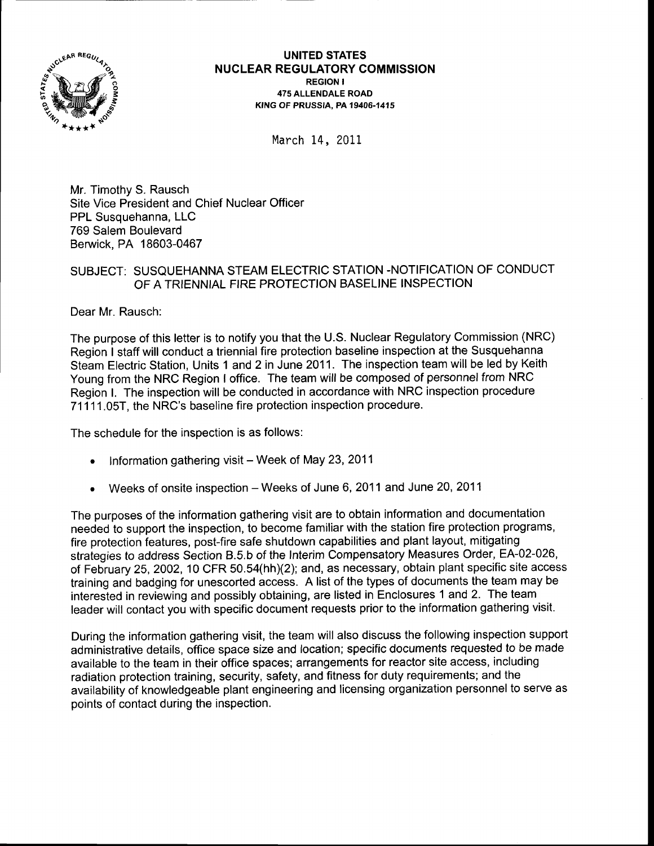

UNITED STATES NUGLEAR REGULATORY COMMISSION REGION I 475 ALLENDALE ROAD **KING OF PRUSSIA. PA 19406-1415** 

March 14, 2011

Mr. Timothy S. Rausch Site Vice President and Chief Nuclear Officer PPL Susquehanna, LLC 769 Salem Boulevard Berwick, PA 18603-0467

# SUBJECT: SUSQUEHANNA STEAM ELECTRIC STATION -NOTIFICATION OF CONDUCT OF A TRIENNIAL FIRE PROTECTION BASELINE INSPECTION

Dear Mr. Rausch:

The purpose of this letter is to notify you that the U.S. Nuclear Regulatory Commission (NRC) Region I staff will conduct a triennial fire protection baseline inspection at the Susquehanna Steam Electric Station, Units 1 and 2 in June 2011. The inspection team will be led by Keith Young from the NRC Region I office. The team will be composed of personnel from NRC Region l. The inspection will be conducted in accordance with NRC inspection procedure 71111.05T, the NRC's baseline fire protection inspection procedure.

The schedule for the inspection is as follows:

- . Information gathering visit Week of May 23, 2011
- Weeks of onsite inspection Weeks of June 6, 2011 and June 20, 2011

The purposes of the information gathering visit are to obtain information and documentation needed to support the inspection, to become familiar with the station fire protection programs, fire protection features, post-fire safe shutdown capabilities and plant layout, mitigating strategies to address Section 8.5.b of the lnterim Compensatory Measures Order, EA-02-026, of February 25, 2002, 10 CFR 50.54(hh)(2); and, as necessary, obtain plant specific site access training and badging for unescorted access. A list of the types of documents the team may be interested in reviewing and possibly obtaining, are listed in Enclosures 1 and 2. The team leader will contact you with specific document requests prior to the information gathering visit.

During the information gathering visit, the team will also discuss the following inspection support administrative details, office space size and location; specific documents requested to be made available to the team in their office spaces; arrangements for reactor site access, including radiation protection training, security, safety, and fitness for duty requirements; and the availability of knowledgeable plant engineering and licensing organization personnel to serve as points of contact during the inspection.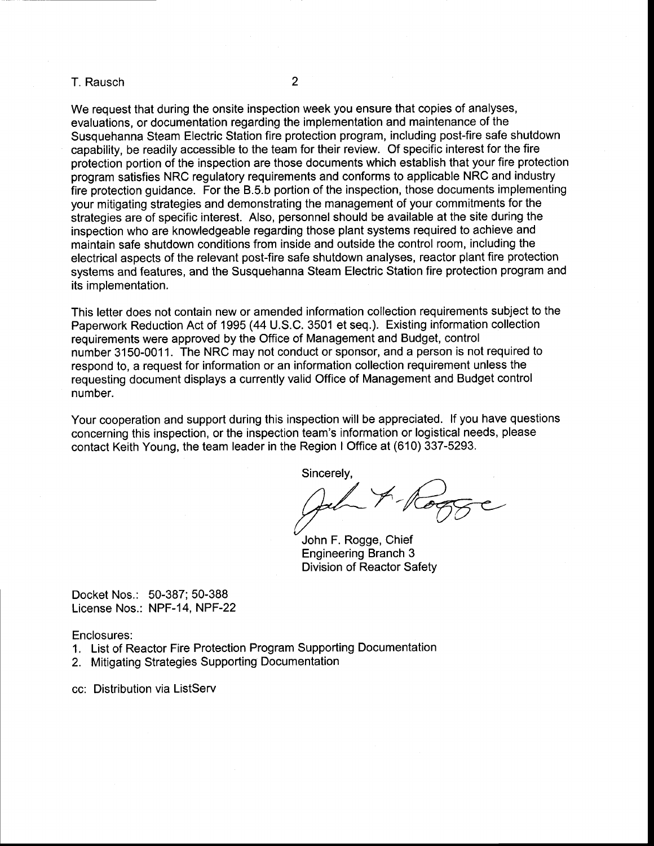### T. Rausch <sup>2</sup>

We request that during the onsite inspection week you ensure that copies of analyses, evaluations, or documentation regarding the implementation and maintenance of the Susquehanna Steam Electric Station fire protection program, including post-fire safe shutdown capability, be readily accessible to the team for their review. Of specific interest for the fire protection portion of the inspection are those documents which establish that your fire protection program satisfies NRC regulatory requirements and conforms to applicable NRC and industry fire protection guidance. For the B.5.b portion of the inspection, those documents implementing your mitigating strategies and demonstrating the management of your commitments for the strategies are of specific interest. Also, personnel should be available at the site during the inspection who are knowledgeable regarding those plant systems required to achieve and maintain safe shutdown conditions from inside and outside the control room, including the electrical aspects of the relevant post-fire safe shutdown analyses, reactor plant fire protection systems and features, and the Susquehanna Steam Electric Station fire protection program and its implementation.

This letter does not contain new or amended information collection requirements subject to the Papenruork Reduction Act of 1995 (44 U.S.C. 3501 et seq.). Existing information collection requirements were approved by the Office of Management and Budget, control number 3150-0011. The NRC may not conduct or sponsor, and a person is not required to respond to, a request for information or an information collection requirement unless the requesting document displays a currently valid Office of Management and Budget control number.

Your cooperation and support during this inspection will be appreciated. lf you have questions concerning this inspection, or the inspection team's information or logistical needs, please contact Keith Young, the team leader in the Region I Office at (610) 337-5293.

Sincerely,<br>God -- Rogge

John F. Rogge, Chief Engineering Branch 3 Division of Reactor Safety

Docket Nos.: 50-387; 50-388 License Nos.: NPF-14, NPF-22

Enclosures:

1. List of Reactor Fire Protection Program Supporting Documentation

2. Mitigating Strategies Supporting Documentation

cc: Distribution via ListServ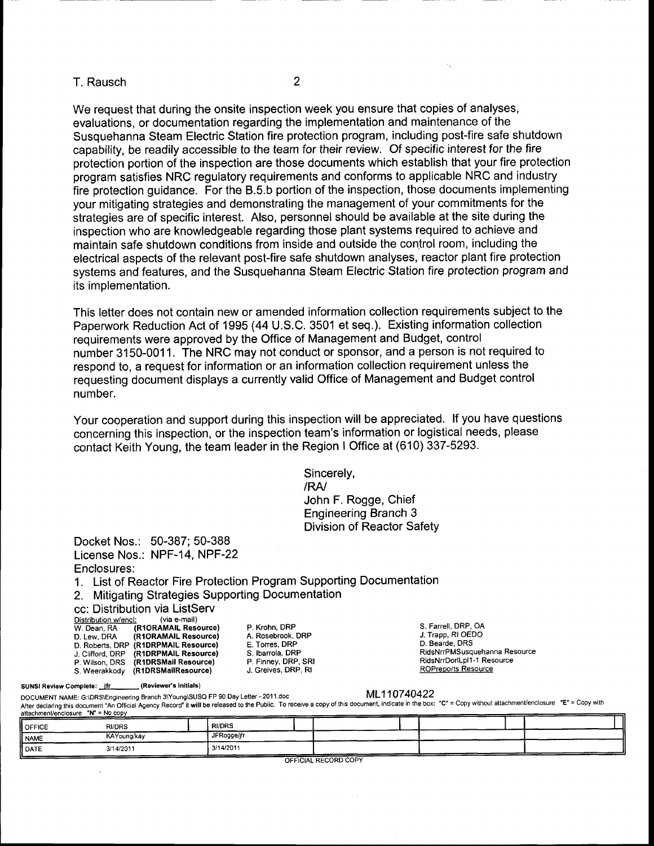#### T. Rausch <sup>2</sup>

We request that during the onsite inspection week you ensure that copies of analyses, evaluations, or documentation regarding the implementation and maintenance of the Susquehanna Steam Electric Station fire protection program, including post-fire safe shutdown capability, be readily accessible to the team for their review. Of specific interest for the fire protection portion of the inspection are those documents which establish that your fire protection program satisfies NRC regulatory requirements and conforms to applicable NRC and industry fire protection guidance. For the 8.5.b portion of the inspection, those documents implementing your mitigating strategies and demonstrating the management of your commitments for the strategies are of specific interest. Also, personnel should be available at the site during the inspection who are knowledgeable regarding those plant systems required to achieve and maintain safe shutdown conditions from inside and outside the control room, including the electrical aspects of the relevant post-fire safe shutdown analyses, reactor plant fire protection systems and features, and the Susquehanna Steam Electric Station fire protection program and its implementation.

This letter does not contain new or amended information collection requirements subject to the Papenvork Reduction Act of 1995 (44 U.S.C. 3501 et seq.). Existing information collection requirements were approved by the Office of Management and Budget, control number 3150-0011. The NRC may not conduct or sponsor, and a person is not required to respond to, a request for information or an information collection requirement unless the requesting document displays a currently valid Office of Management and Budget control number.

Your cooperation and support during this inspection will be appreciated. lf you have questions concerning this inspection, or the inspection team's information or logistical needs, please contact Keith Young, the team leader in the Region I Office at (610) 337-5293.

> Sincerely, /RA/ John F. Rogge, Chief Engineering Branch 3 Division of Reactor Safety

Docket Nos.: 50-387; 50-388 License Nos.: NPF-14, NPF-22 Enclosures:

1. List of Reactor Fire Protection Program Supporting Documentation

2. Mitigating Strategies Supporting Documentation

cc: Distribution via ListServ

| Distribution w/encl: | (via e-mail)         |
|----------------------|----------------------|
| W. Dean, RA          | (R1ORAMAIL Resource) |
| D. Lew. DRA          | (R1ORAMAIL Resource) |
| D. Roberts, DRP      | (R1DRPMAIL Resource) |
| J. Clifford, DRP     | (R1DRPMAIL Resource) |
| P. Wilson, DRS       | (R1DRSMail Resource) |
| S. Weerakkody        | (R1DRSMailResource)  |

P. Krohn, DRP A. Rosebrook, DRP E. Torres, DRP S. Ibarrola, DRP P. Finney, DRP, SRI<br>J. Greives, DRP, RI S. Farrell, DRP, OA J.Trapp, Rl OEDO D. Bearde, DRS RidsNrrPMSusquehanna Resource RidsNrrDorlLpl 1 -1 Resource ROPreoorts Resource

SUNSI Review Complete: \_\_ifr\_\_\_\_\_\_\_\_(Reviewer's Initials)<br>DOCUMENT NAME: G:\DRS\Engineering Branch 3\Young\SUSQ FP 90 Day Letter - 2011.doc DOCUMENT NAME: G:\DRS\Engineering Branch 3\Young\SUSQ FP 90 Day Letter - 2011.doc ML110740422<br>After declaring this document "An Official Agency Record" it will be released to the Public. To receive a copy of this document,

| <b>OFFICE</b> | <b>RI/DRS</b> | <b>RI/DRS</b> |  |  |
|---------------|---------------|---------------|--|--|
| <b>NAME</b>   | KAYoung/kay   | JFRogge/jfr   |  |  |
| <b>I</b> DATE | 3/14/2011     | 3/14/2011     |  |  |

OFFICIAL RECORD COPY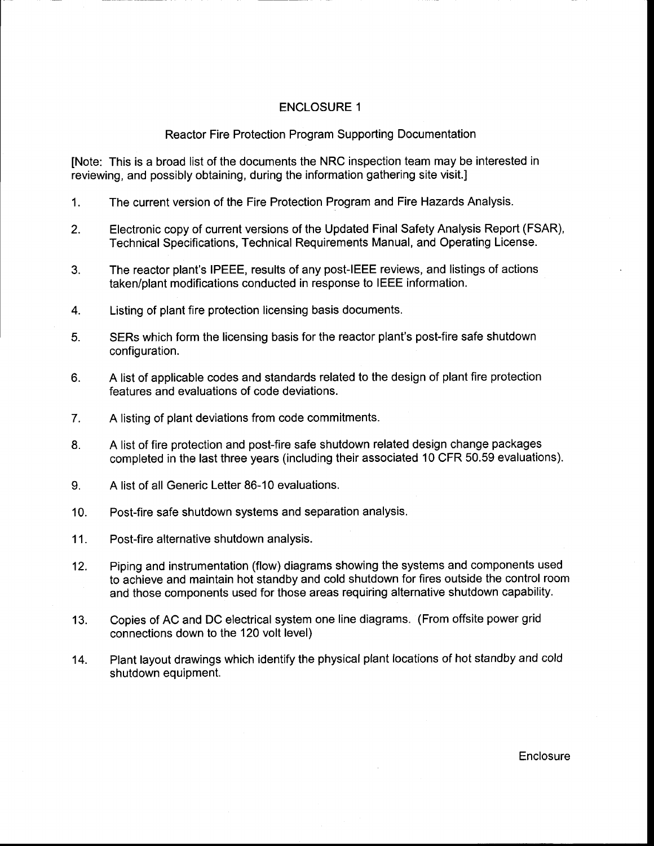## ENCLOSURE <sup>1</sup>

## Reactor Fire Protection Program Supporting Documentation

[Note: This is a broad list of the documents the NRC inspection team may be interested in reviewing, and possibly obtaining, during the information gathering site visit.l

- 1. The current version of the Fire Protection Program and Fire Hazards Analysis.
- 2. Electronic copy of current versions of the Updated Final Safety Analysis Report (FSAR), Technical Specifications, Technical Requirements Manual, and Operating License.
- 3. The reactor plant's IPEEE, results of any post-IEEE reviews, and listings of actions taken/plant modifications conducted in response to IEEE information.
- Listing of plant fire protection licensing basis documents. 4.
- SERs which form the licensing basis for the reactor plant's post-fire safe shutdown configuration. 5.
- A list of applicable codes and standards related to the design of plant fire protection features and evaluations of code deviations. 6.
- A listing of plant deviations from code commitments. 7.
- A list of fire protection and post-fire safe shutdown related design change packages completed in the last three years (including their associated 10 CFR 50.59 evaluations).  $8<sub>1</sub>$
- A list of all Generic Letter 86-10 evaluations. 9.
- Post-fire safe shutdown systems and separation analysis. 10.
- Post-fire alternative shutdown analysis. 11.
- Piping and instrumentation (flow) diagrams showing the systems and components used to achieve and maintain hot standby and cold shutdown for fires outside the control room and those components used for those areas requiring alternative shutdown capability. 12.
- Copies of AC and DC electrical system one line diagrams. (From offsite power grid connections down to the 120 volt level) 13.
- Plant layout drawings which identify the physical plant locations of hot standby and cold shutdown equipment. 14.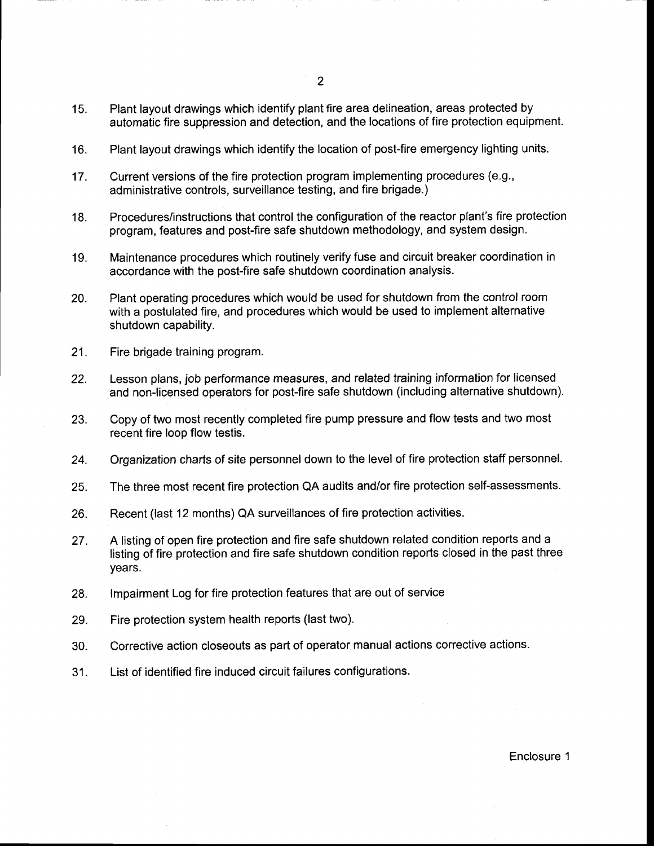- 15. Plant layout drawings which identify plant fire area delineation, areas protected by automatic fire suppression and detection, and the locations of fire protection equipment.
- Plant layout drawings which identify the location of post-fire emergency lighting units. 16.
- Current versions of the fire protection program implementing procedures (e.9., administrative controls, surveillance testing, and fire brigade.) 17.
- Procedures/instructions that control the configuration of the reactor plant's fire protection program, features and post-fire safe shutdown methodology, and system design. 18.
- Maintenance procedures which routinely verify fuse and circuit breaker coordination in accordance with the post-fire safe shutdown coordination analysis. 19.
- Plant operating procedures which would be used for shutdown from the control room with a postulated fire, and procedures which would be used to implement alternative shutdown capability. 20.
- Fire brigade training program. 21.
- Lesson plans, job performance measures, and related training information for licensed and non-licensed operators for post-fire safe shutdown (including alternative shutdown). 22.
- Copy of two most recently completed fire pump pressure and flow tests and two most recent fire loop flow testis. 23.
- Organization charts of site personnel down to the level of fire protection staff personnel. 24.
- The three most recent fire protection QA audits and/or fire protection self-assessments. 25.
- Recent (last 12 months) QA surveillances of fire protection activities. 26.
- A listing of open fire protection and fire safe shutdown related condition reports and a listing of fire protection and fire safe shutdown condition reports closed in the past three years. 27.
- lmpairment Log for fire protection features that are out of service 28.
- Fire protection system health reports (last two). 29.
- Corrective action closeouts as part of operator manual actions corrective actions. 30.
- List of identified fire induced circuit failures configurations. 31.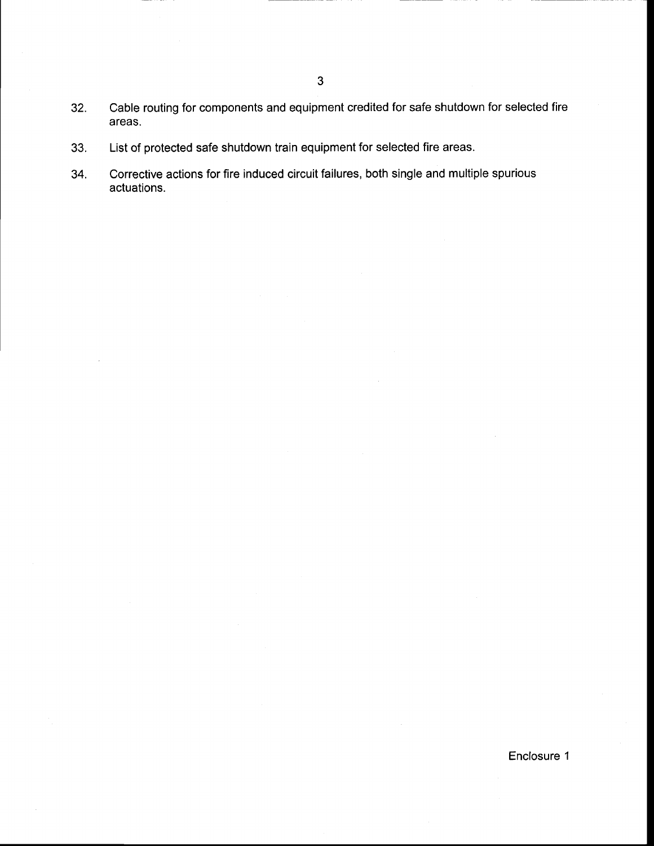- $32.$ Cable routing for components and equipment credited for safe shutdown for selected fire areas.
- 33. List of protected safe shutdown train equipment for selected fire areas.
- 34. Corrective actions for fire induced circuit failures, both single and multiple spurious actuations.